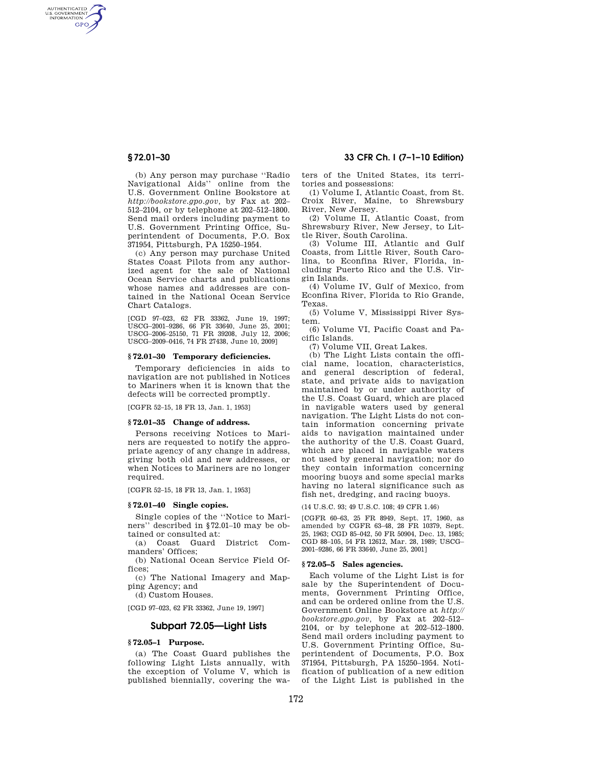AUTHENTICATED<br>U.S. GOVERNMENT<br>INFORMATION **GPO** 

> (b) Any person may purchase ''Radio Navigational Aids'' online from the U.S. Government Online Bookstore at *http://bookstore.gpo.gov,* by Fax at 202– 512–2104, or by telephone at 202–512–1800. Send mail orders including payment to U.S. Government Printing Office, Superintendent of Documents, P.O. Box 371954, Pittsburgh, PA 15250–1954.

> (c) Any person may purchase United States Coast Pilots from any authorized agent for the sale of National Ocean Service charts and publications whose names and addresses are contained in the National Ocean Service Chart Catalogs.

> [CGD 97–023, 62 FR 33362, June 19, 1997; USCG–2001–9286, 66 FR 33640, June 25, 2001; USCG–2006–25150, 71 FR 39208, July 12, 2006; USCG–2009–0416, 74 FR 27438, June 10, 2009]

#### **§ 72.01–30 Temporary deficiencies.**

Temporary deficiencies in aids to navigation are not published in Notices to Mariners when it is known that the defects will be corrected promptly.

[CGFR 52–15, 18 FR 13, Jan. 1, 1953]

#### **§ 72.01–35 Change of address.**

Persons receiving Notices to Mariners are requested to notify the appropriate agency of any change in address, giving both old and new addresses, or when Notices to Mariners are no longer required.

[CGFR 52–15, 18 FR 13, Jan. 1, 1953]

## **§ 72.01–40 Single copies.**

Single copies of the ''Notice to Mariners'' described in §72.01–10 may be obtained or consulted at:

(a) Coast Guard District Commanders' Offices;

(b) National Ocean Service Field Offices;

(c) The National Imagery and Mapping Agency; and

(d) Custom Houses.

[CGD 97–023, 62 FR 33362, June 19, 1997]

# **Subpart 72.05—Light Lists**

# **§ 72.05–1 Purpose.**

(a) The Coast Guard publishes the following Light Lists annually, with the exception of Volume V, which is published biennially, covering the wa-

# **§ 72.01–30 33 CFR Ch. I (7–1–10 Edition)**

ters of the United States, its territories and possessions:

(1) Volume I, Atlantic Coast, from St. Croix River, Maine, to Shrewsbury River, New Jersey.

(2) Volume II, Atlantic Coast, from Shrewsbury River, New Jersey, to Little River, South Carolina.

(3) Volume III, Atlantic and Gulf Coasts, from Little River, South Carolina, to Econfina River, Florida, including Puerto Rico and the U.S. Virgin Islands.

(4) Volume IV, Gulf of Mexico, from Econfina River, Florida to Rio Grande, Texas.

(5) Volume V, Mississippi River System.

(6) Volume VI, Pacific Coast and Pacific Islands.

(7) Volume VII, Great Lakes.

(b) The Light Lists contain the official name, location, characteristics, and general description of federal, state, and private aids to navigation maintained by or under authority of the U.S. Coast Guard, which are placed in navigable waters used by general navigation. The Light Lists do not contain information concerning private aids to navigation maintained under the authority of the U.S. Coast Guard, which are placed in navigable waters not used by general navigation; nor do they contain information concerning mooring buoys and some special marks having no lateral significance such as fish net, dredging, and racing buoys.

(14 U.S.C. 93; 49 U.S.C. 108; 49 CFR 1.46)

[CGFR 60–63, 25 FR 8949, Sept. 17, 1960, as amended by CGFR 63–48, 28 FR 10379, Sept. 25, 1963; CGD 85–042, 50 FR 50904, Dec. 13, 1985; CGD 88–105, 54 FR 12612, Mar. 28, 1989; USCG– 2001–9286, 66 FR 33640, June 25, 2001]

## **§ 72.05–5 Sales agencies.**

Each volume of the Light List is for sale by the Superintendent of Documents, Government Printing Office, and can be ordered online from the U.S. Government Online Bookstore at *http:// bookstore.gpo.gov,* by Fax at 202–512– 2104, or by telephone at 202–512–1800. Send mail orders including payment to U.S. Government Printing Office, Superintendent of Documents, P.O. Box 371954, Pittsburgh, PA 15250–1954. Notification of publication of a new edition of the Light List is published in the